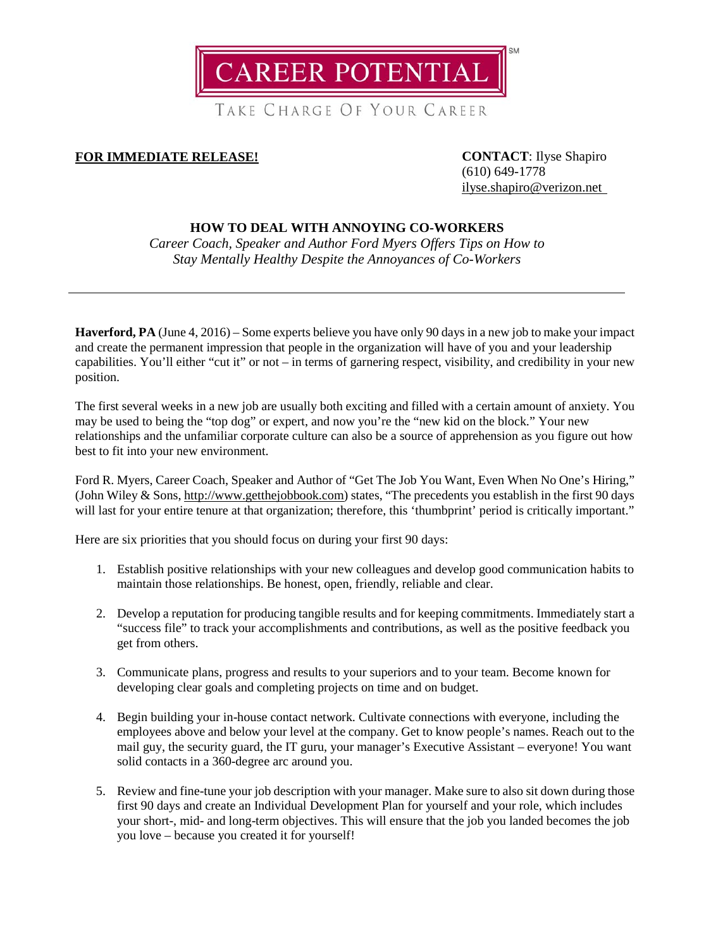**CAREER POTENTIAL** 

TAKE CHARGE OF YOUR CAREER

## **FOR IMMEDIATE RELEASE! CONTACT**: Ilyse Shapiro

(610) 649-1778 [ilyse.shapiro@verizon.net](mailto:ilyse.shapiro@verizon.net)

## **HOW TO DEAL WITH ANNOYING CO-WORKERS**

*Career Coach, Speaker and Author Ford Myers Offers Tips on How to Stay Mentally Healthy Despite the Annoyances of Co-Workers*

**Haverford, PA** (June 4, 2016) – Some experts believe you have only 90 days in a new job to make your impact and create the permanent impression that people in the organization will have of you and your leadership capabilities. You'll either "cut it" or not – in terms of garnering respect, visibility, and credibility in your new position.

The first several weeks in a new job are usually both exciting and filled with a certain amount of anxiety. You may be used to being the "top dog" or expert, and now you're the "new kid on the block." Your new relationships and the unfamiliar corporate culture can also be a source of apprehension as you figure out how best to fit into your new environment.

Ford R. Myers, Career Coach, Speaker and Author of "Get The Job You Want, Even When No One's Hiring," (John Wiley & Sons[, http://www.getthejobbook.com\)](http://www.getthejobbook.com/) states, "The precedents you establish in the first 90 days will last for your entire tenure at that organization; therefore, this 'thumbprint' period is critically important."

Here are six priorities that you should focus on during your first 90 days:

- 1. Establish positive relationships with your new colleagues and develop good communication habits to maintain those relationships. Be honest, open, friendly, reliable and clear.
- 2. Develop a reputation for producing tangible results and for keeping commitments. Immediately start a "success file" to track your accomplishments and contributions, as well as the positive feedback you get from others.
- 3. Communicate plans, progress and results to your superiors and to your team. Become known for developing clear goals and completing projects on time and on budget.
- 4. Begin building your in-house contact network. Cultivate connections with everyone, including the employees above and below your level at the company. Get to know people's names. Reach out to the mail guy, the security guard, the IT guru, your manager's Executive Assistant – everyone! You want solid contacts in a 360-degree arc around you.
- 5. Review and fine-tune your job description with your manager. Make sure to also sit down during those first 90 days and create an Individual Development Plan for yourself and your role, which includes your short-, mid- and long-term objectives. This will ensure that the job you landed becomes the job you love – because you created it for yourself!